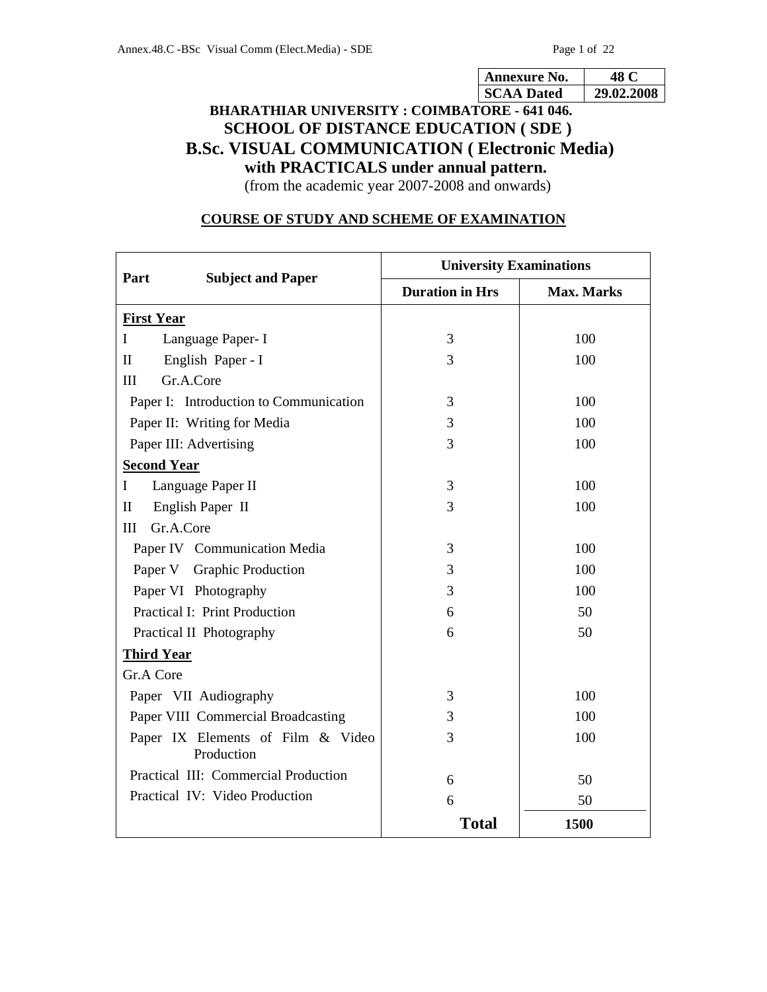| nexure N<br>ΝО. |             |
|-----------------|-------------|
| <b>A</b> Dated  | በያ<br>M7 71 |

# **BHARATHIAR UNIVERSITY : COIMBATORE - 641 046. SCHOOL OF DISTANCE EDUCATION ( SDE ) B.Sc. VISUAL COMMUNICATION ( Electronic Media) with PRACTICALS under annual pattern.**

(from the academic year 2007-2008 and onwards)

# **COURSE OF STUDY AND SCHEME OF EXAMINATION**

|                                                 | <b>University Examinations</b> |                   |
|-------------------------------------------------|--------------------------------|-------------------|
| Part<br><b>Subject and Paper</b>                | <b>Duration in Hrs</b>         | <b>Max. Marks</b> |
| <b>First Year</b>                               |                                |                   |
| Language Paper- I<br>I                          | 3                              | 100               |
| English Paper - I<br>$\mathbf{I}$               | 3                              | 100               |
| Gr.A.Core<br>III                                |                                |                   |
| Paper I: Introduction to Communication          | 3                              | 100               |
| Paper II: Writing for Media                     | 3                              | 100               |
| Paper III: Advertising                          | 3                              | 100               |
| <b>Second Year</b>                              |                                |                   |
| Language Paper II<br>$\bf{I}$                   | 3                              | 100               |
| $\mathbf{I}$<br>English Paper II                | 3                              | 100               |
| Gr.A.Core<br>Ш                                  |                                |                   |
| Paper IV Communication Media                    | 3                              | 100               |
| Paper V Graphic Production                      | 3                              | 100               |
| Paper VI Photography                            | 3                              | 100               |
| <b>Practical I: Print Production</b>            | 6                              | 50                |
| Practical II Photography                        | 6                              | 50                |
| <b>Third Year</b>                               |                                |                   |
| Gr.A Core                                       |                                |                   |
| Paper VII Audiography                           | 3                              | 100               |
| Paper VIII Commercial Broadcasting              | 3                              | 100               |
| Paper IX Elements of Film & Video<br>Production | 3                              | 100               |
| Practical III: Commercial Production            | 6                              | 50                |
| Practical IV: Video Production                  | 6                              | 50                |
|                                                 | <b>Total</b>                   | 1500              |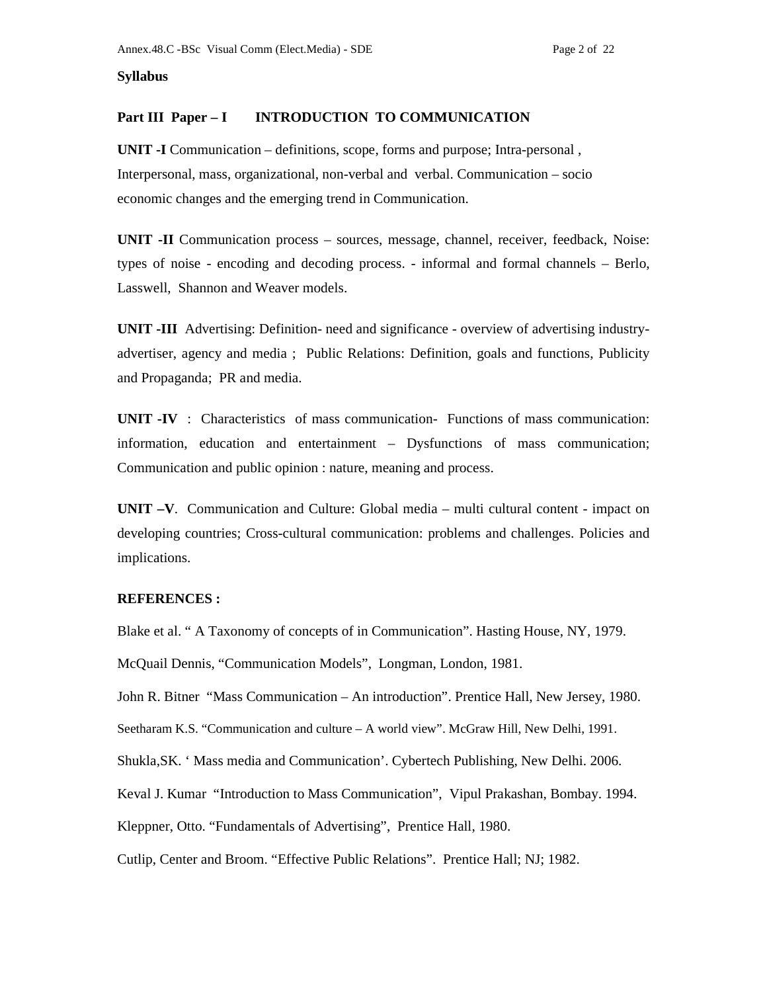## **Syllabus**

# Part III Paper – I **INTRODUCTION TO COMMUNICATION**

**UNIT -I** Communication – definitions, scope, forms and purpose; Intra-personal , Interpersonal, mass, organizational, non-verbal and verbal. Communication – socio economic changes and the emerging trend in Communication.

**UNIT -II** Communication process – sources, message, channel, receiver, feedback, Noise: types of noise - encoding and decoding process. - informal and formal channels – Berlo, Lasswell, Shannon and Weaver models.

**UNIT -III** Advertising: Definition- need and significance - overview of advertising industryadvertiser, agency and media ; Public Relations: Definition, goals and functions, Publicity and Propaganda; PR and media.

**UNIT -IV** : Characteristics of mass communication- Functions of mass communication: information, education and entertainment – Dysfunctions of mass communication; Communication and public opinion : nature, meaning and process.

**UNIT –V**. Communication and Culture: Global media – multi cultural content - impact on developing countries; Cross-cultural communication: problems and challenges. Policies and implications.

## **REFERENCES :**

Blake et al. " A Taxonomy of concepts of in Communication". Hasting House, NY, 1979.

McQuail Dennis, "Communication Models", Longman, London, 1981.

John R. Bitner "Mass Communication – An introduction". Prentice Hall, New Jersey, 1980.

Seetharam K.S. "Communication and culture – A world view". McGraw Hill, New Delhi, 1991.

Shukla,SK. ' Mass media and Communication'. Cybertech Publishing, New Delhi. 2006.

Keval J. Kumar "Introduction to Mass Communication", Vipul Prakashan, Bombay. 1994.

Kleppner, Otto. "Fundamentals of Advertising", Prentice Hall, 1980.

Cutlip, Center and Broom. "Effective Public Relations". Prentice Hall; NJ; 1982.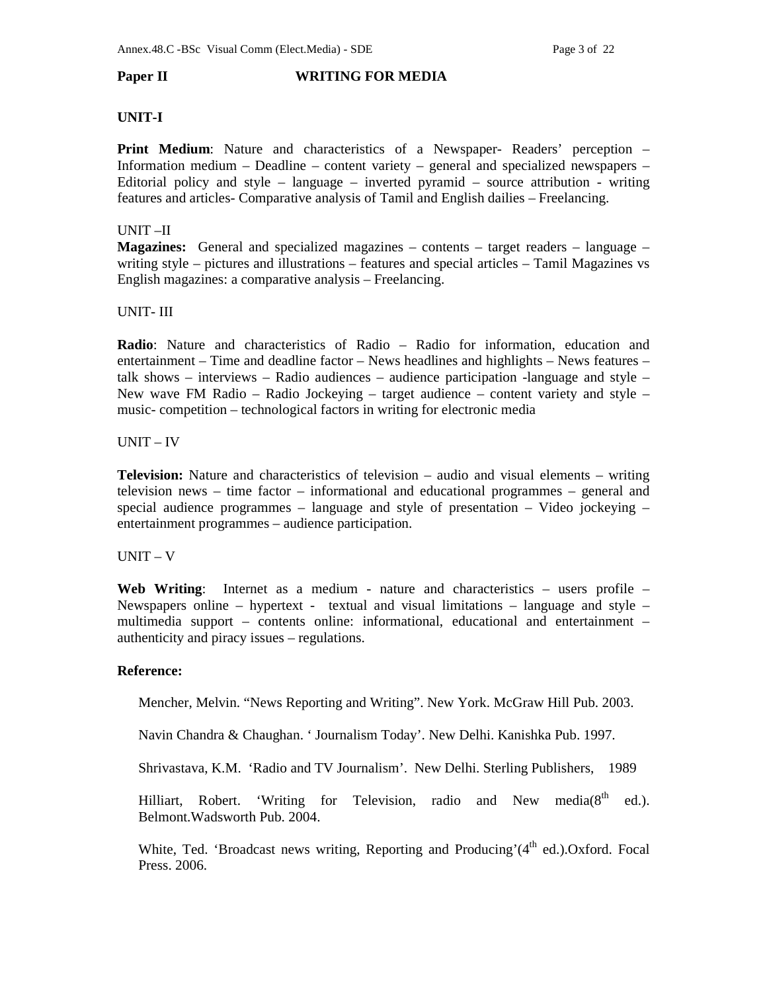## **Paper II WRITING FOR MEDIA**

# **UNIT-I**

**Print Medium**: Nature and characteristics of a Newspaper- Readers' perception – Information medium – Deadline – content variety – general and specialized newspapers – Editorial policy and style – language – inverted pyramid – source attribution - writing features and articles- Comparative analysis of Tamil and English dailies – Freelancing.

# UNIT –II

**Magazines:** General and specialized magazines – contents – target readers – language – writing style – pictures and illustrations – features and special articles – Tamil Magazines vs English magazines: a comparative analysis – Freelancing.

# UNIT- III

**Radio**: Nature and characteristics of Radio – Radio for information, education and entertainment – Time and deadline factor – News headlines and highlights – News features – talk shows – interviews – Radio audiences – audience participation -language and style – New wave FM Radio – Radio Jockeying – target audience – content variety and style – music- competition – technological factors in writing for electronic media

## UNIT – IV

**Television:** Nature and characteristics of television – audio and visual elements – writing television news – time factor – informational and educational programmes – general and special audience programmes – language and style of presentation – Video jockeying – entertainment programmes – audience participation.

## UNIT – V

**Web Writing**: Internet as a medium - nature and characteristics – users profile – Newspapers online – hypertext - textual and visual limitations – language and style – multimedia support – contents online: informational, educational and entertainment – authenticity and piracy issues – regulations.

# **Reference:**

Mencher, Melvin. "News Reporting and Writing". New York. McGraw Hill Pub. 2003.

Navin Chandra & Chaughan. ' Journalism Today'. New Delhi. Kanishka Pub. 1997.

Shrivastava, K.M. 'Radio and TV Journalism'. New Delhi. Sterling Publishers, 1989

Hilliart, Robert. 'Writing for Television, radio and New media( $8<sup>th</sup>$  ed.). Belmont.Wadsworth Pub. 2004.

White, Ted. 'Broadcast news writing, Reporting and Producing'( $4<sup>th</sup>$  ed.).Oxford. Focal Press. 2006.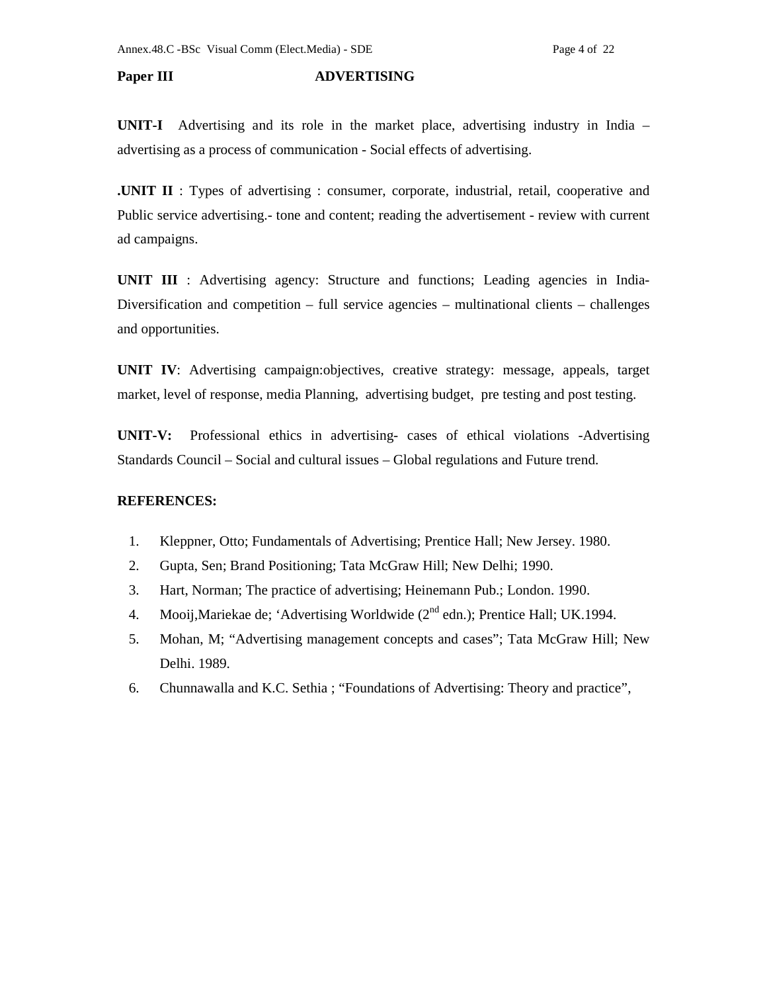# **Paper III ADVERTISING**

**UNIT-I** Advertising and its role in the market place, advertising industry in India – advertising as a process of communication - Social effects of advertising.

**.UNIT II** : Types of advertising : consumer, corporate, industrial, retail, cooperative and Public service advertising.- tone and content; reading the advertisement - review with current ad campaigns.

**UNIT III** : Advertising agency: Structure and functions; Leading agencies in India-Diversification and competition – full service agencies – multinational clients – challenges and opportunities.

**UNIT IV**: Advertising campaign:objectives, creative strategy: message, appeals, target market, level of response, media Planning, advertising budget, pre testing and post testing.

**UNIT-V:** Professional ethics in advertising- cases of ethical violations -Advertising Standards Council – Social and cultural issues – Global regulations and Future trend.

## **REFERENCES:**

- 1. Kleppner, Otto; Fundamentals of Advertising; Prentice Hall; New Jersey. 1980.
- 2. Gupta, Sen; Brand Positioning; Tata McGraw Hill; New Delhi; 1990.
- 3. Hart, Norman; The practice of advertising; Heinemann Pub.; London. 1990.
- 4. Mooij, Mariekae de; 'Advertising Worldwide  $(2^{nd}$  edn.); Prentice Hall; UK.1994.
- 5. Mohan, M; "Advertising management concepts and cases"; Tata McGraw Hill; New Delhi. 1989.
- 6. Chunnawalla and K.C. Sethia ; "Foundations of Advertising: Theory and practice",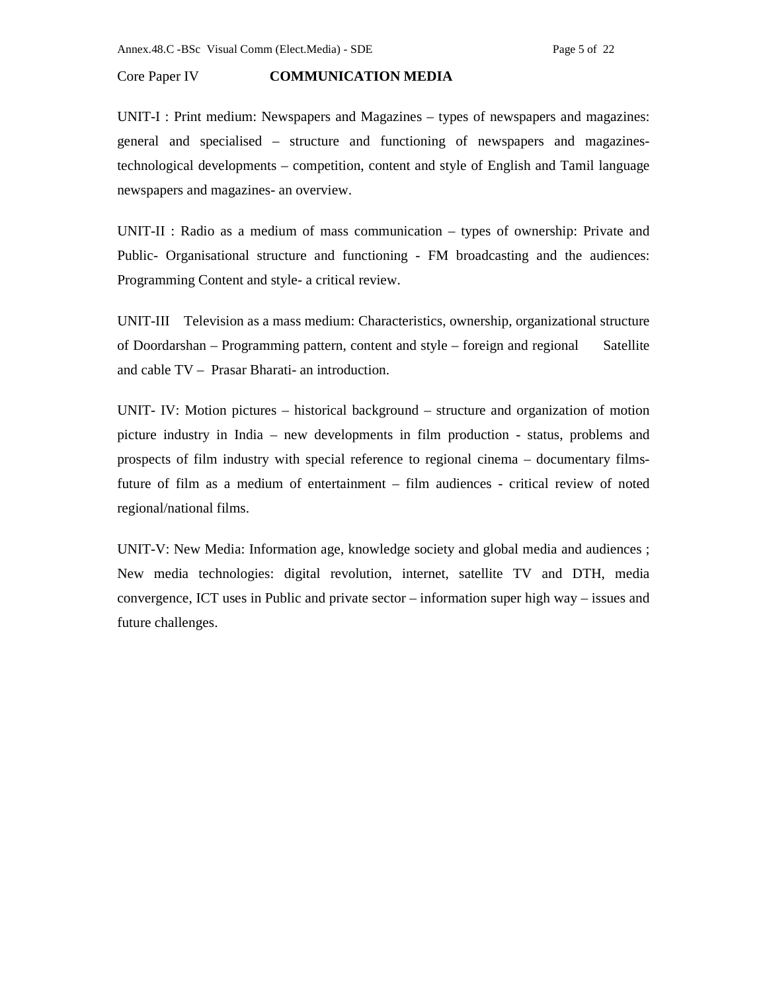## Core Paper IV **COMMUNICATION MEDIA**

UNIT-I : Print medium: Newspapers and Magazines – types of newspapers and magazines: general and specialised – structure and functioning of newspapers and magazinestechnological developments – competition, content and style of English and Tamil language newspapers and magazines- an overview.

UNIT-II : Radio as a medium of mass communication – types of ownership: Private and Public- Organisational structure and functioning - FM broadcasting and the audiences: Programming Content and style- a critical review.

UNIT-III Television as a mass medium: Characteristics, ownership, organizational structure of Doordarshan – Programming pattern, content and style – foreign and regional Satellite and cable TV – Prasar Bharati- an introduction.

UNIT- IV: Motion pictures – historical background – structure and organization of motion picture industry in India – new developments in film production - status, problems and prospects of film industry with special reference to regional cinema – documentary filmsfuture of film as a medium of entertainment – film audiences - critical review of noted regional/national films.

UNIT-V: New Media: Information age, knowledge society and global media and audiences ; New media technologies: digital revolution, internet, satellite TV and DTH, media convergence, ICT uses in Public and private sector – information super high way – issues and future challenges.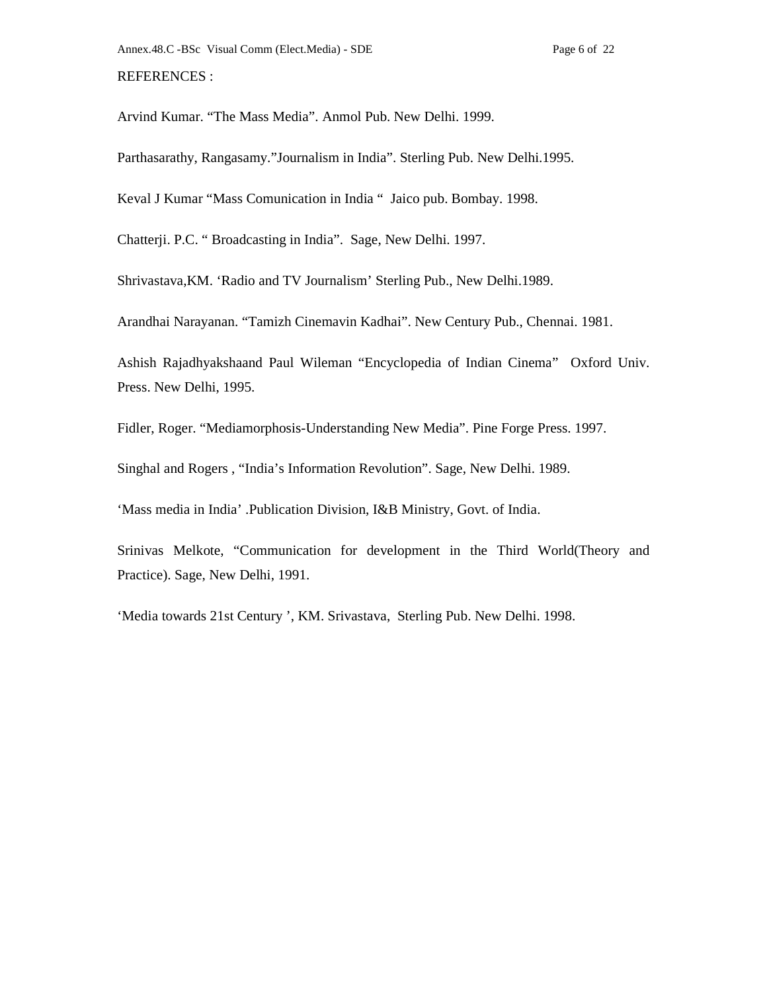Arvind Kumar. "The Mass Media". Anmol Pub. New Delhi. 1999.

Parthasarathy, Rangasamy."Journalism in India". Sterling Pub. New Delhi.1995.

Keval J Kumar "Mass Comunication in India " Jaico pub. Bombay. 1998.

Chatterji. P.C. " Broadcasting in India". Sage, New Delhi. 1997.

Shrivastava,KM. 'Radio and TV Journalism' Sterling Pub., New Delhi.1989.

Arandhai Narayanan. "Tamizh Cinemavin Kadhai". New Century Pub., Chennai. 1981.

Ashish Rajadhyakshaand Paul Wileman "Encyclopedia of Indian Cinema" Oxford Univ. Press. New Delhi, 1995.

Fidler, Roger. "Mediamorphosis-Understanding New Media". Pine Forge Press. 1997.

Singhal and Rogers , "India's Information Revolution". Sage, New Delhi. 1989.

'Mass media in India' .Publication Division, I&B Ministry, Govt. of India.

Srinivas Melkote, "Communication for development in the Third World(Theory and Practice). Sage, New Delhi, 1991.

'Media towards 21st Century ', KM. Srivastava, Sterling Pub. New Delhi. 1998.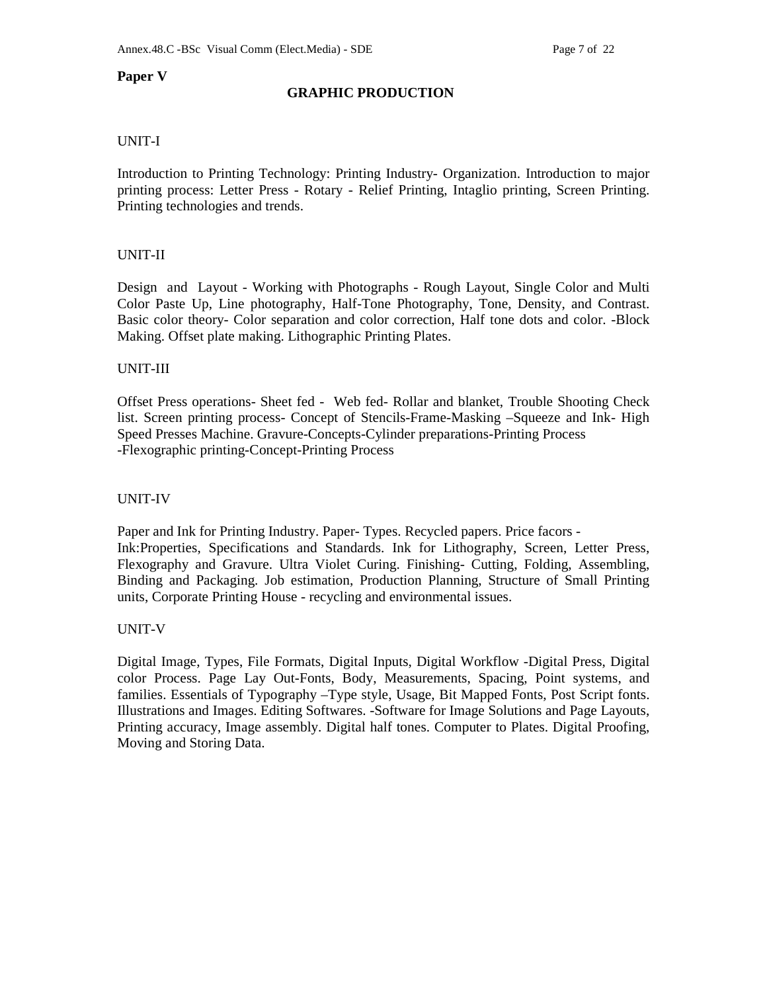# **Paper V**

# **GRAPHIC PRODUCTION**

# UNIT-I

Introduction to Printing Technology: Printing Industry- Organization. Introduction to major printing process: Letter Press - Rotary - Relief Printing, Intaglio printing, Screen Printing. Printing technologies and trends.

# UNIT-II

Design and Layout - Working with Photographs - Rough Layout, Single Color and Multi Color Paste Up, Line photography, Half-Tone Photography, Tone, Density, and Contrast. Basic color theory- Color separation and color correction, Half tone dots and color. -Block Making. Offset plate making. Lithographic Printing Plates.

## UNIT-III

Offset Press operations- Sheet fed - Web fed- Rollar and blanket, Trouble Shooting Check list. Screen printing process- Concept of Stencils-Frame-Masking –Squeeze and Ink- High Speed Presses Machine. Gravure-Concepts-Cylinder preparations-Printing Process -Flexographic printing-Concept-Printing Process

## UNIT-IV

Paper and Ink for Printing Industry. Paper- Types. Recycled papers. Price facors - Ink:Properties, Specifications and Standards. Ink for Lithography, Screen, Letter Press, Flexography and Gravure. Ultra Violet Curing. Finishing- Cutting, Folding, Assembling, Binding and Packaging. Job estimation, Production Planning, Structure of Small Printing units, Corporate Printing House - recycling and environmental issues.

## UNIT-V

Digital Image, Types, File Formats, Digital Inputs, Digital Workflow -Digital Press, Digital color Process. Page Lay Out-Fonts, Body, Measurements, Spacing, Point systems, and families. Essentials of Typography –Type style, Usage, Bit Mapped Fonts, Post Script fonts. Illustrations and Images. Editing Softwares. -Software for Image Solutions and Page Layouts, Printing accuracy, Image assembly. Digital half tones. Computer to Plates. Digital Proofing, Moving and Storing Data.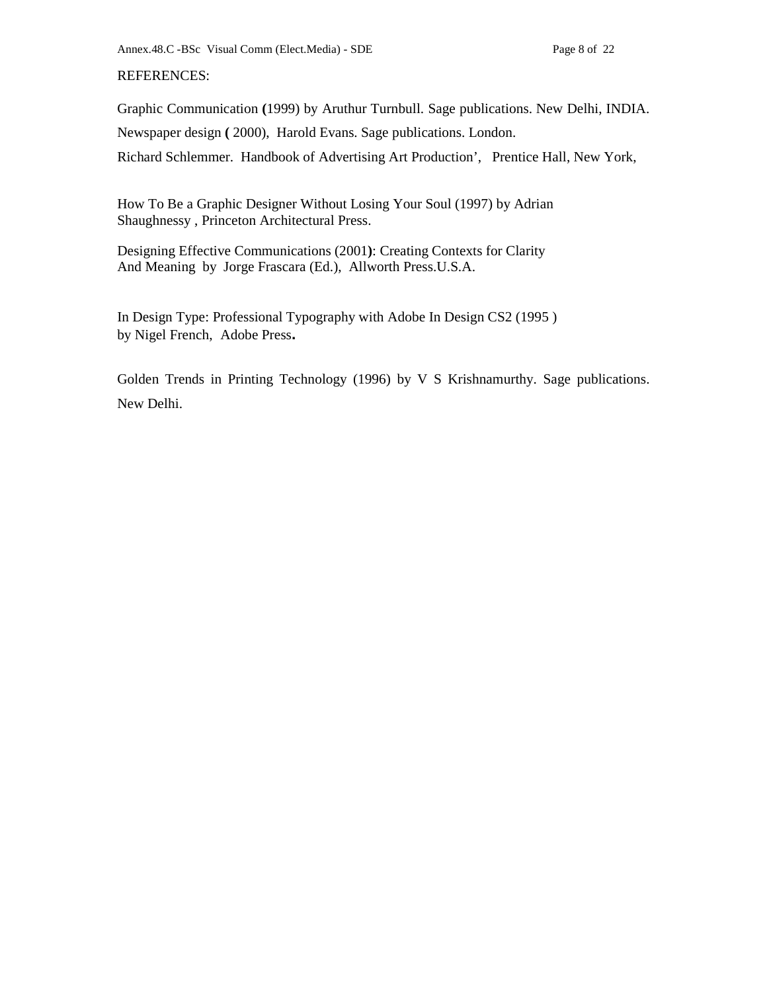# REFERENCES:

Graphic Communication **(**1999) by Aruthur Turnbull. Sage publications. New Delhi, INDIA. Newspaper design **(** 2000), Harold Evans. Sage publications. London. Richard Schlemmer. Handbook of Advertising Art Production', Prentice Hall, New York,

How To Be a Graphic Designer Without Losing Your Soul (1997) by Adrian Shaughnessy , Princeton Architectural Press.

Designing Effective Communications (2001**)**: Creating Contexts for Clarity And Meaning by Jorge Frascara (Ed.), Allworth Press.U.S.A.

In Design Type: Professional Typography with Adobe In Design CS2 (1995 ) by Nigel French, Adobe Press**.** 

Golden Trends in Printing Technology (1996) by V S Krishnamurthy. Sage publications. New Delhi.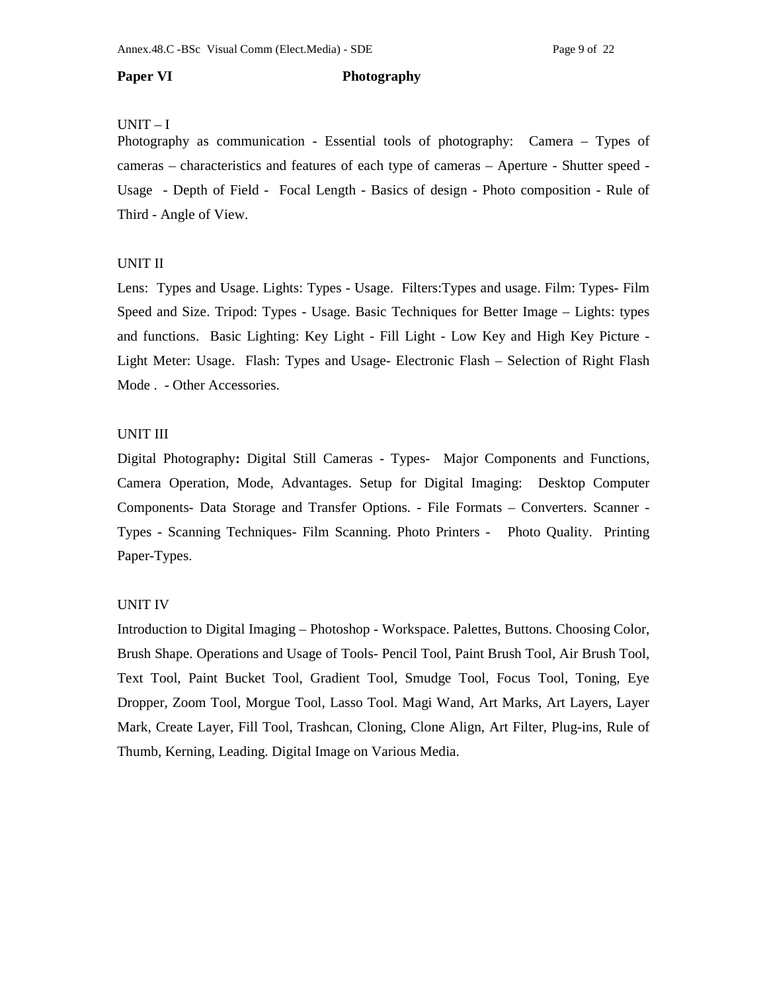### **Paper VI** Photography

## UNIT – I

Photography as communication - Essential tools of photography: Camera – Types of cameras – characteristics and features of each type of cameras – Aperture - Shutter speed - Usage - Depth of Field - Focal Length - Basics of design - Photo composition - Rule of Third - Angle of View.

## UNIT II

Lens: Types and Usage. Lights: Types - Usage. Filters:Types and usage. Film: Types- Film Speed and Size. Tripod: Types - Usage. Basic Techniques for Better Image – Lights: types and functions. Basic Lighting: Key Light - Fill Light - Low Key and High Key Picture - Light Meter: Usage. Flash: Types and Usage- Electronic Flash – Selection of Right Flash Mode . - Other Accessories.

# UNIT III

Digital Photography**:** Digital Still Cameras - Types- Major Components and Functions, Camera Operation, Mode, Advantages. Setup for Digital Imaging: Desktop Computer Components- Data Storage and Transfer Options. - File Formats – Converters. Scanner - Types - Scanning Techniques- Film Scanning. Photo Printers - Photo Quality. Printing Paper-Types.

## UNIT IV

Introduction to Digital Imaging – Photoshop - Workspace. Palettes, Buttons. Choosing Color, Brush Shape. Operations and Usage of Tools- Pencil Tool, Paint Brush Tool, Air Brush Tool, Text Tool, Paint Bucket Tool, Gradient Tool, Smudge Tool, Focus Tool, Toning, Eye Dropper, Zoom Tool, Morgue Tool, Lasso Tool. Magi Wand, Art Marks, Art Layers, Layer Mark, Create Layer, Fill Tool, Trashcan, Cloning, Clone Align, Art Filter, Plug-ins, Rule of Thumb, Kerning, Leading. Digital Image on Various Media.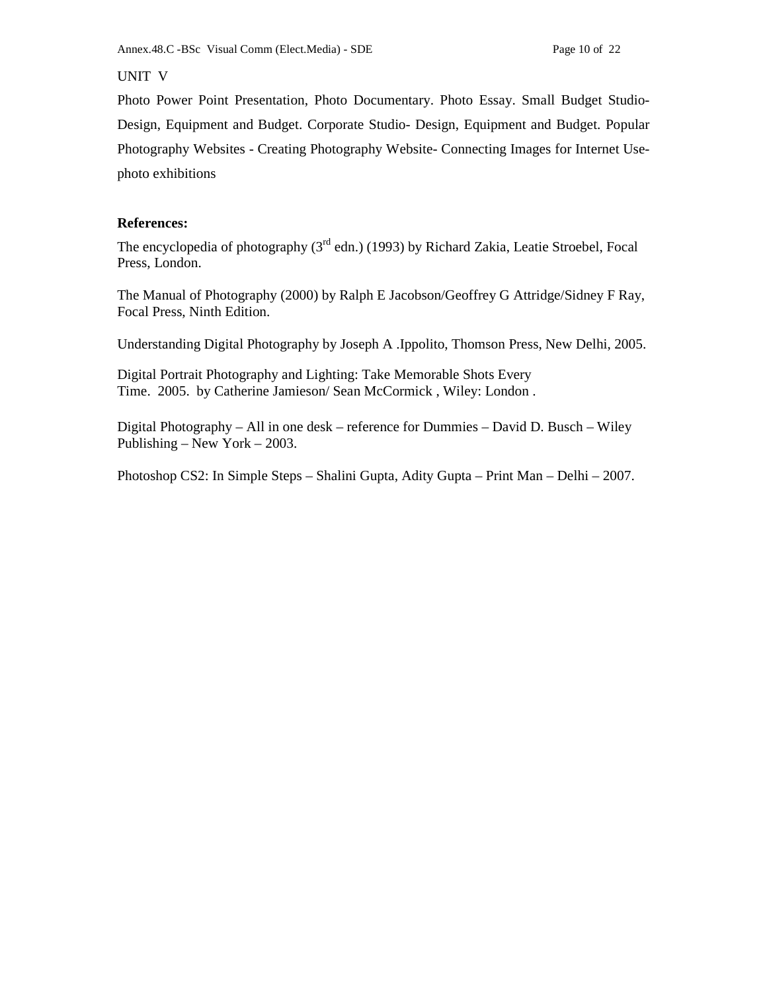# UNIT V

Photo Power Point Presentation, Photo Documentary. Photo Essay. Small Budget Studio-Design, Equipment and Budget. Corporate Studio- Design, Equipment and Budget. Popular Photography Websites - Creating Photography Website- Connecting Images for Internet Usephoto exhibitions

# **References:**

The encyclopedia of photography  $(3<sup>rd</sup>$  edn.) (1993) by Richard Zakia, Leatie Stroebel, Focal Press, London.

The Manual of Photography (2000) by Ralph E Jacobson/Geoffrey G Attridge/Sidney F Ray, Focal Press, Ninth Edition.

Understanding Digital Photography by Joseph A .Ippolito, Thomson Press, New Delhi, 2005.

Digital Portrait Photography and Lighting: Take Memorable Shots Every Time. 2005. by Catherine Jamieson/ Sean McCormick , Wiley: London .

Digital Photography – All in one desk – reference for Dummies – David D. Busch – Wiley Publishing – New York – 2003.

Photoshop CS2: In Simple Steps – Shalini Gupta, Adity Gupta – Print Man – Delhi – 2007.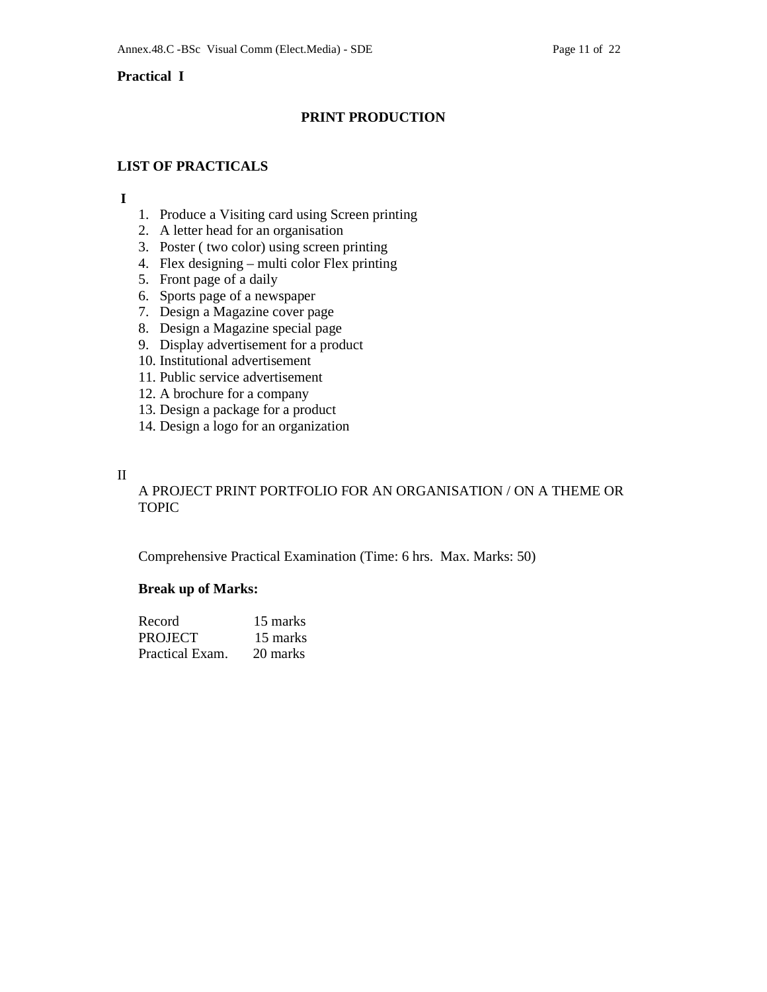# **Practical I**

# **PRINT PRODUCTION**

# **LIST OF PRACTICALS**

## **I**

- 1. Produce a Visiting card using Screen printing
- 2. A letter head for an organisation
- 3. Poster ( two color) using screen printing
- 4. Flex designing multi color Flex printing
- 5. Front page of a daily
- 6. Sports page of a newspaper
- 7. Design a Magazine cover page
- 8. Design a Magazine special page
- 9. Display advertisement for a product
- 10. Institutional advertisement
- 11. Public service advertisement
- 12. A brochure for a company
- 13. Design a package for a product
- 14. Design a logo for an organization

## II

# A PROJECT PRINT PORTFOLIO FOR AN ORGANISATION / ON A THEME OR TOPIC

Comprehensive Practical Examination (Time: 6 hrs. Max. Marks: 50)

# **Break up of Marks:**

| Record          | 15 marks |
|-----------------|----------|
| <b>PROJECT</b>  | 15 marks |
| Practical Exam. | 20 marks |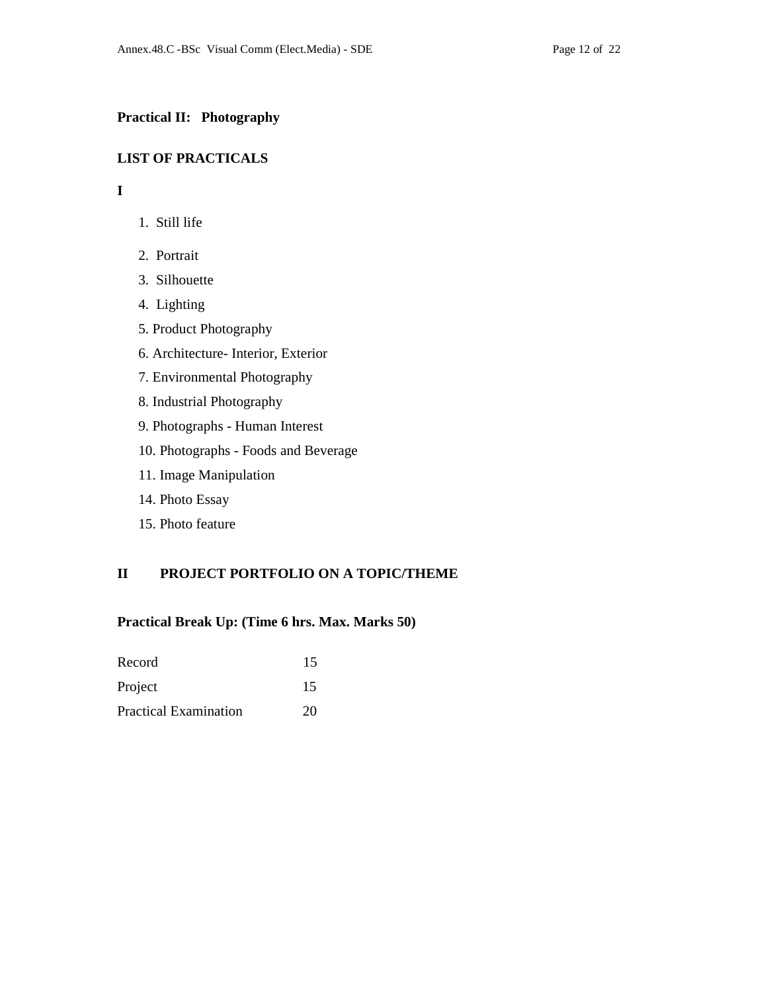# **Practical II: Photography**

# **LIST OF PRACTICALS**

# **I**

- 1. Still life
- 2. Portrait
- 3. Silhouette
- 4. Lighting
- 5. Product Photography
- 6. Architecture- Interior, Exterior
- 7. Environmental Photography
- 8. Industrial Photography
- 9. Photographs Human Interest
- 10. Photographs Foods and Beverage
- 11. Image Manipulation
- 14. Photo Essay
- 15. Photo feature

# **II PROJECT PORTFOLIO ON A TOPIC/THEME**

## **Practical Break Up: (Time 6 hrs. Max. Marks 50)**

| Record                       | 15 |
|------------------------------|----|
| Project                      | 15 |
| <b>Practical Examination</b> | 20 |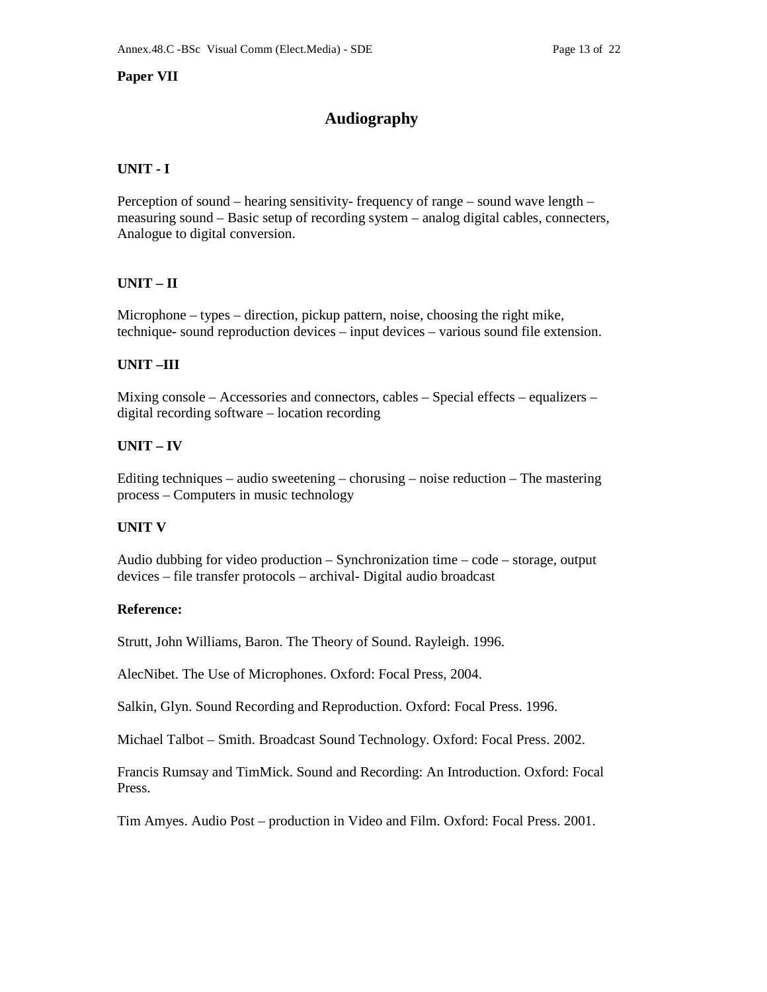# **Paper VII**

# **Audiography**

# **UNIT - I**

Perception of sound – hearing sensitivity- frequency of range – sound wave length – measuring sound – Basic setup of recording system – analog digital cables, connecters, Analogue to digital conversion.

# **UNIT – II**

Microphone – types – direction, pickup pattern, noise, choosing the right mike, technique- sound reproduction devices – input devices – various sound file extension.

# **UNIT –III**

Mixing console – Accessories and connectors, cables – Special effects – equalizers – digital recording software – location recording

# **UNIT – IV**

Editing techniques – audio sweetening – chorusing – noise reduction – The mastering process – Computers in music technology

# **UNIT V**

Audio dubbing for video production – Synchronization time – code – storage, output devices – file transfer protocols – archival- Digital audio broadcast

# **Reference:**

Strutt, John Williams, Baron. The Theory of Sound. Rayleigh. 1996.

AlecNibet. The Use of Microphones. Oxford: Focal Press, 2004.

Salkin, Glyn. Sound Recording and Reproduction. Oxford: Focal Press. 1996.

Michael Talbot – Smith. Broadcast Sound Technology. Oxford: Focal Press. 2002.

Francis Rumsay and TimMick. Sound and Recording: An Introduction. Oxford: Focal Press.

Tim Amyes. Audio Post – production in Video and Film. Oxford: Focal Press. 2001.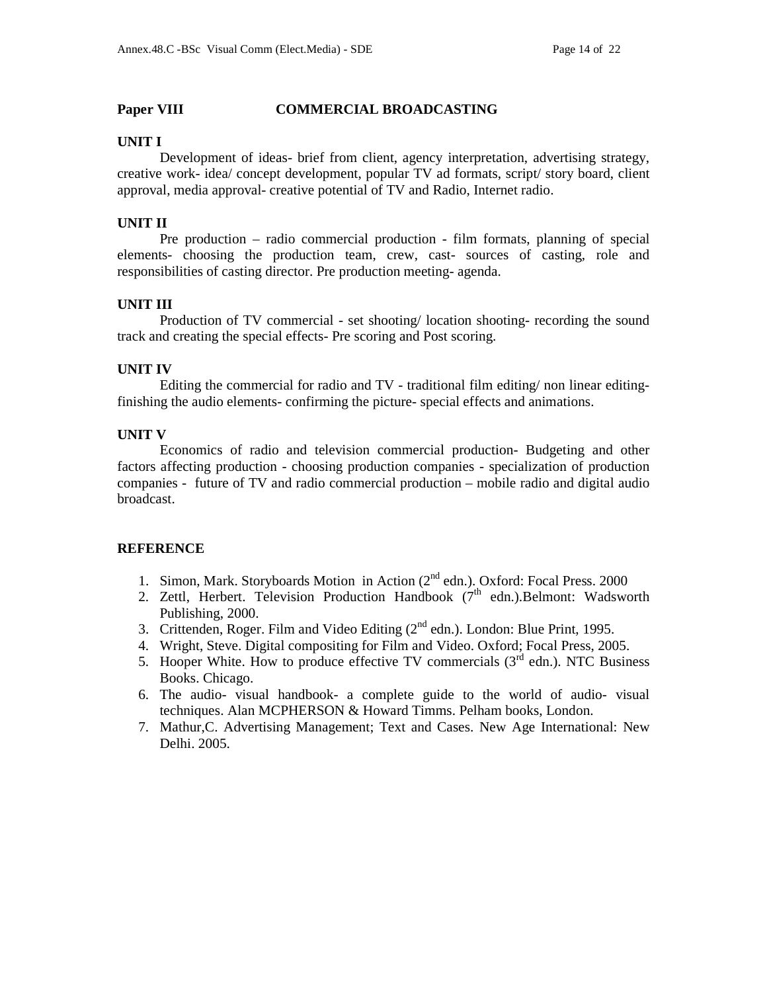## **Paper VIII COMMERCIAL BROADCASTING**

## **UNIT I**

Development of ideas- brief from client, agency interpretation, advertising strategy, creative work- idea/ concept development, popular TV ad formats, script/ story board, client approval, media approval- creative potential of TV and Radio, Internet radio.

# **UNIT II**

 Pre production – radio commercial production - film formats, planning of special elements- choosing the production team, crew, cast- sources of casting, role and responsibilities of casting director. Pre production meeting- agenda.

# **UNIT III**

Production of TV commercial - set shooting/ location shooting- recording the sound track and creating the special effects- Pre scoring and Post scoring.

# **UNIT IV**

Editing the commercial for radio and TV - traditional film editing/ non linear editingfinishing the audio elements- confirming the picture- special effects and animations.

# **UNIT V**

Economics of radio and television commercial production- Budgeting and other factors affecting production - choosing production companies - specialization of production companies - future of TV and radio commercial production – mobile radio and digital audio broadcast.

# **REFERENCE**

- 1. Simon, Mark. Storyboards Motion in Action (2<sup>nd</sup> edn.). Oxford: Focal Press. 2000
- 2. Zettl, Herbert. Television Production Handbook  $(7<sup>th</sup>$  edn.).Belmont: Wadsworth Publishing, 2000.
- 3. Crittenden, Roger. Film and Video Editing  $(2^{nd}$  edn.). London: Blue Print, 1995.
- 4. Wright, Steve. Digital compositing for Film and Video. Oxford; Focal Press, 2005.
- 5. Hooper White. How to produce effective TV commercials  $(3^{rd}$  edn.). NTC Business Books. Chicago.
- 6. The audio- visual handbook- a complete guide to the world of audio- visual techniques. Alan MCPHERSON & Howard Timms. Pelham books, London.
- 7. Mathur,C. Advertising Management; Text and Cases. New Age International: New Delhi. 2005.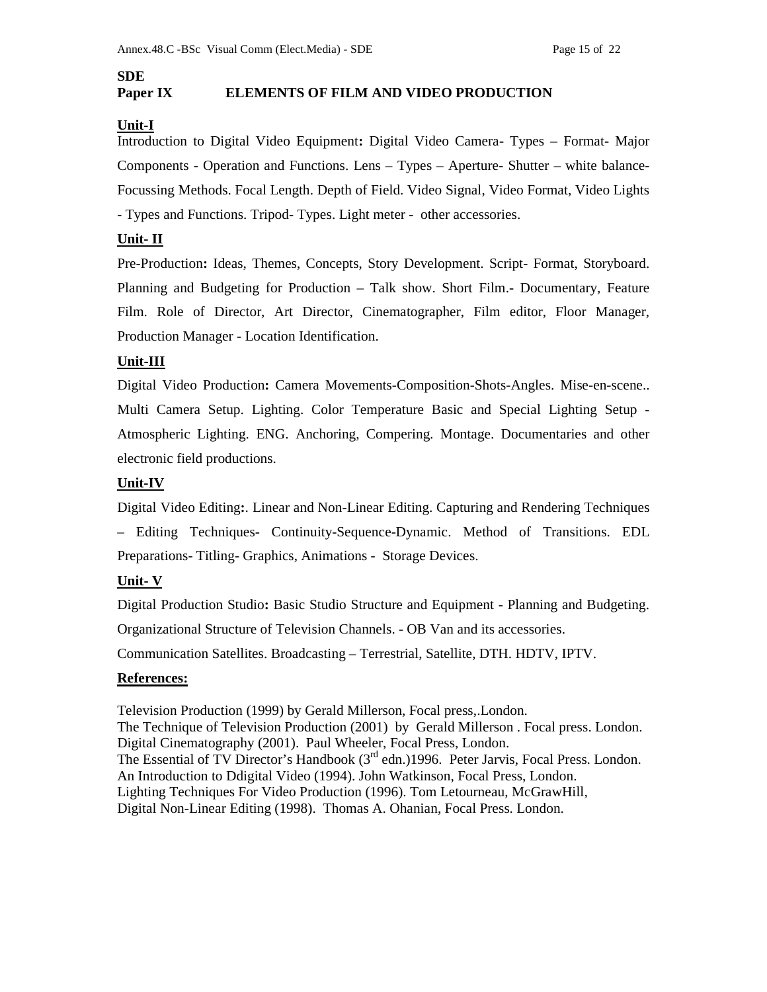# **SDE**

# **Paper IX ELEMENTS OF FILM AND VIDEO PRODUCTION**

# **Unit-I**

Introduction to Digital Video Equipment**:** Digital Video Camera- Types – Format- Major Components - Operation and Functions. Lens – Types – Aperture- Shutter – white balance-Focussing Methods. Focal Length. Depth of Field. Video Signal, Video Format, Video Lights - Types and Functions. Tripod- Types. Light meter - other accessories.

# **Unit- II**

Pre-Production**:** Ideas, Themes, Concepts, Story Development. Script- Format, Storyboard. Planning and Budgeting for Production – Talk show. Short Film.- Documentary, Feature Film. Role of Director, Art Director, Cinematographer, Film editor, Floor Manager, Production Manager - Location Identification.

## **Unit-III**

Digital Video Production**:** Camera Movements-Composition-Shots-Angles. Mise-en-scene.. Multi Camera Setup. Lighting. Color Temperature Basic and Special Lighting Setup - Atmospheric Lighting. ENG. Anchoring, Compering. Montage. Documentaries and other electronic field productions.

## **Unit-IV**

Digital Video Editing**:**. Linear and Non-Linear Editing. Capturing and Rendering Techniques – Editing Techniques- Continuity-Sequence-Dynamic. Method of Transitions. EDL Preparations- Titling- Graphics, Animations - Storage Devices.

# **Unit- V**

Digital Production Studio**:** Basic Studio Structure and Equipment - Planning and Budgeting.

Organizational Structure of Television Channels. - OB Van and its accessories.

Communication Satellites. Broadcasting – Terrestrial, Satellite, DTH. HDTV, IPTV.

# **References:**

Television Production (1999) by Gerald Millerson, Focal press,.London. The Technique of Television Production (2001) by Gerald Millerson . Focal press. London. Digital Cinematography (2001). Paul Wheeler, Focal Press, London. The Essential of TV Director's Handbook  $(3<sup>rd</sup>$  edn.)1996. Peter Jarvis, Focal Press. London. An Introduction to Ddigital Video (1994). John Watkinson, Focal Press, London. Lighting Techniques For Video Production (1996). Tom Letourneau, McGrawHill, Digital Non-Linear Editing (1998). Thomas A. Ohanian, Focal Press. London.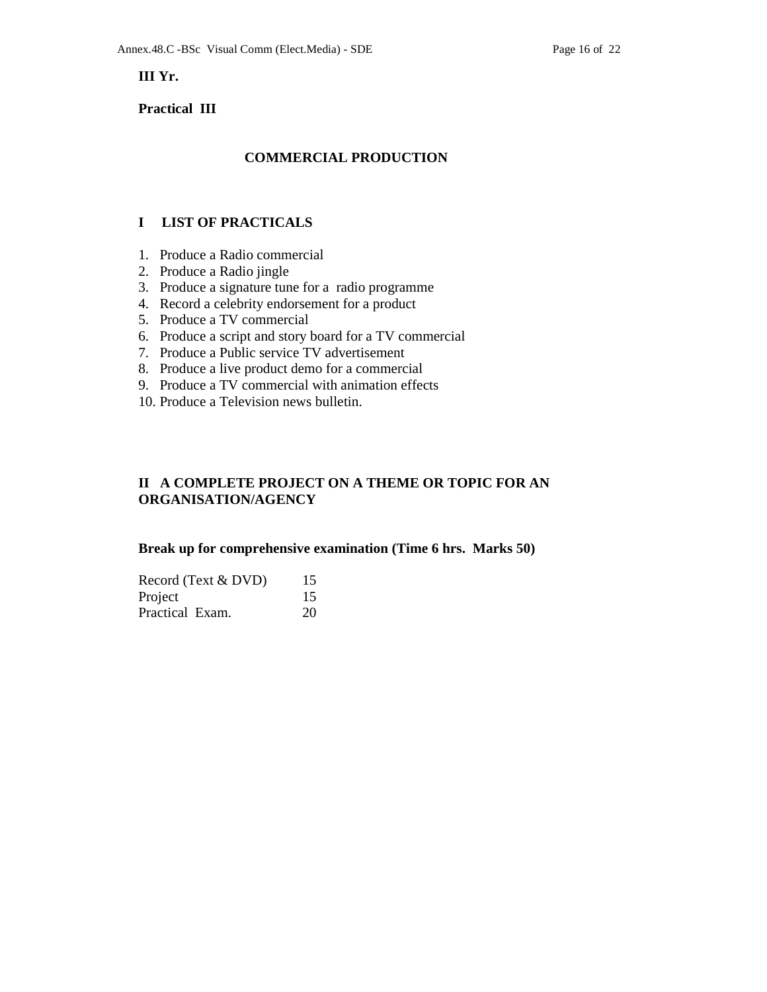**III Yr.** 

## **Practical III**

# **COMMERCIAL PRODUCTION**

## **I LIST OF PRACTICALS**

- 1. Produce a Radio commercial
- 2. Produce a Radio jingle
- 3. Produce a signature tune for a radio programme
- 4. Record a celebrity endorsement for a product
- 5. Produce a TV commercial
- 6. Produce a script and story board for a TV commercial
- 7. Produce a Public service TV advertisement
- 8. Produce a live product demo for a commercial
- 9. Produce a TV commercial with animation effects
- 10. Produce a Television news bulletin.

# **II A COMPLETE PROJECT ON A THEME OR TOPIC FOR AN ORGANISATION/AGENCY**

## **Break up for comprehensive examination (Time 6 hrs. Marks 50)**

| Record (Text & DVD) | 15 |
|---------------------|----|
| Project             | 15 |
| Practical Exam.     | 20 |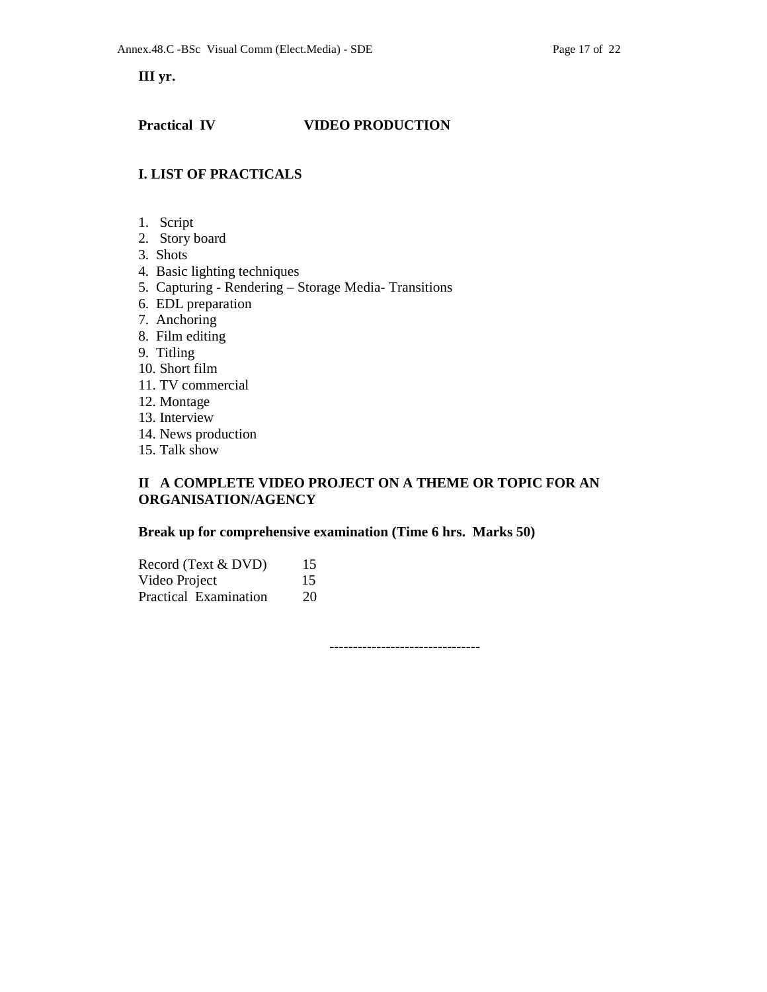**III yr.** 

# **Practical IV VIDEO PRODUCTION**

# **I. LIST OF PRACTICALS**

- 1. Script
- 2. Story board
- 3. Shots
- 4. Basic lighting techniques
- 5. Capturing Rendering Storage Media- Transitions
- 6. EDL preparation
- 7. Anchoring
- 8. Film editing
- 9. Titling
- 10. Short film
- 11. TV commercial
- 12. Montage
- 13. Interview
- 14. News production
- 15. Talk show

# **II A COMPLETE VIDEO PROJECT ON A THEME OR TOPIC FOR AN ORGANISATION/AGENCY**

## **Break up for comprehensive examination (Time 6 hrs. Marks 50)**

| Record (Text & DVD)   | 15 |
|-----------------------|----|
| Video Project         | 15 |
| Practical Examination | 20 |

 **--------------------------------**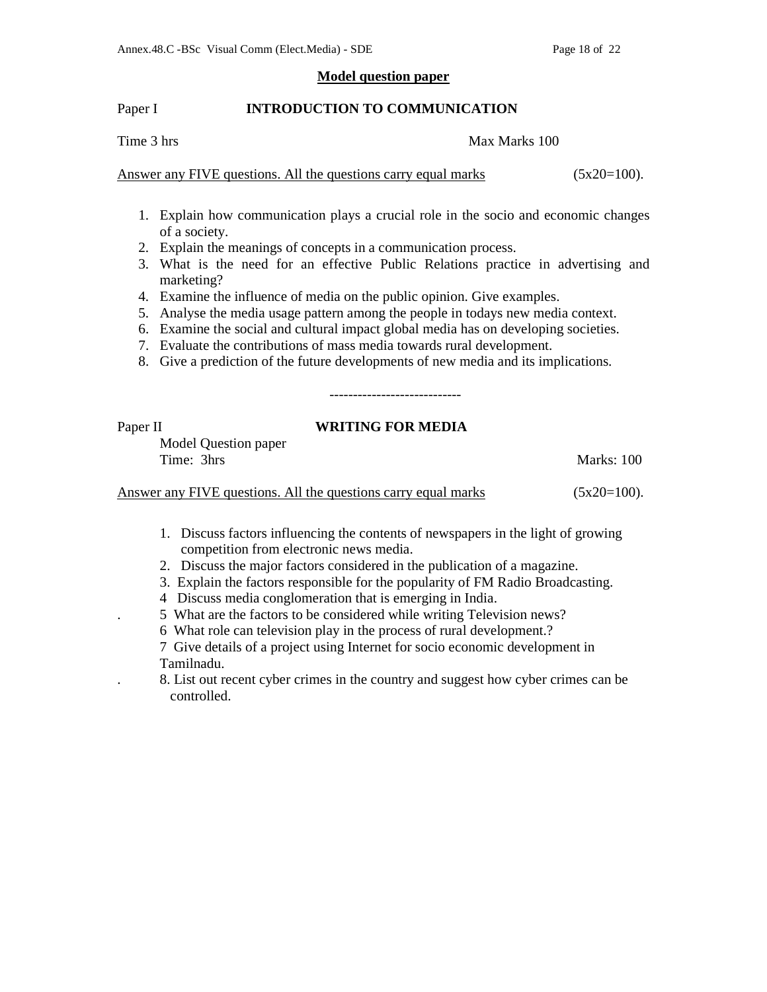## **Model question paper**

## Paper I **INTRODUCTION TO COMMUNICATION**

Time 3 hrs Max Marks 100

Answer any FIVE questions. All the questions carry equal marks  $(5x20=100)$ .

- 1. Explain how communication plays a crucial role in the socio and economic changes of a society.
- 2. Explain the meanings of concepts in a communication process.
- 3. What is the need for an effective Public Relations practice in advertising and marketing?
- 4. Examine the influence of media on the public opinion. Give examples.
- 5. Analyse the media usage pattern among the people in todays new media context.
- 6. Examine the social and cultural impact global media has on developing societies.
- 7. Evaluate the contributions of mass media towards rural development.
- 8. Give a prediction of the future developments of new media and its implications.

# Paper II **WRITING FOR MEDIA**

----------------------------

Model Question paper Time: 3hrs Marks: 100

Answer any FIVE questions. All the questions carry equal marks  $(5x20=100)$ .

1. Discuss factors influencing the contents of newspapers in the light of growing competition from electronic news media.

- 2. Discuss the major factors considered in the publication of a magazine.
- 3. Explain the factors responsible for the popularity of FM Radio Broadcasting.
- 4 Discuss media conglomeration that is emerging in India.
- . 5 What are the factors to be considered while writing Television news?
	- 6 What role can television play in the process of rural development.?

7 Give details of a project using Internet for socio economic development in Tamilnadu.

. 8. List out recent cyber crimes in the country and suggest how cyber crimes can be controlled.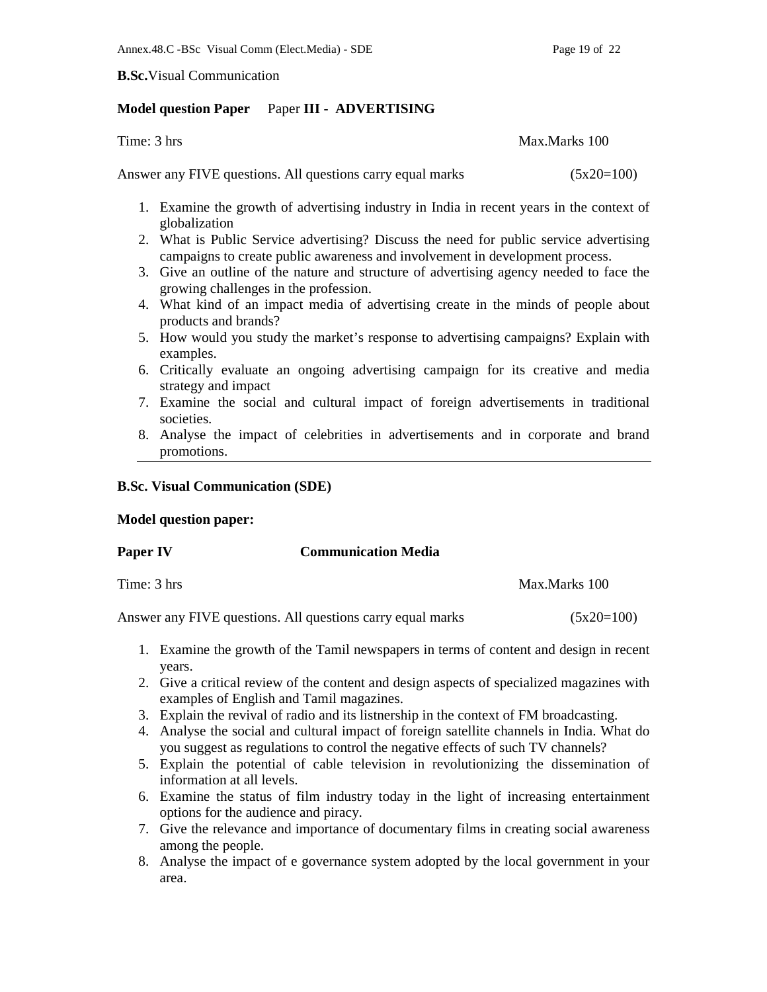**B.Sc.**Visual Communication

## **Model question Paper** Paper **III - ADVERTISING**

Time: 3 hrs Max.Marks 100

Answer any FIVE questions. All questions carry equal marks (5x20=100)

- 1. Examine the growth of advertising industry in India in recent years in the context of globalization
- 2. What is Public Service advertising? Discuss the need for public service advertising campaigns to create public awareness and involvement in development process.
- 3. Give an outline of the nature and structure of advertising agency needed to face the growing challenges in the profession.
- 4. What kind of an impact media of advertising create in the minds of people about products and brands?
- 5. How would you study the market's response to advertising campaigns? Explain with examples.
- 6. Critically evaluate an ongoing advertising campaign for its creative and media strategy and impact
- 7. Examine the social and cultural impact of foreign advertisements in traditional societies.
- 8. Analyse the impact of celebrities in advertisements and in corporate and brand promotions.

# **B.Sc. Visual Communication (SDE)**

## **Model question paper:**

Time: 3 hrs Max.Marks 100

Answer any FIVE questions. All questions carry equal marks (5x20=100)

- 1. Examine the growth of the Tamil newspapers in terms of content and design in recent years.
- 2. Give a critical review of the content and design aspects of specialized magazines with examples of English and Tamil magazines.
- 3. Explain the revival of radio and its listnership in the context of FM broadcasting.
- 4. Analyse the social and cultural impact of foreign satellite channels in India. What do you suggest as regulations to control the negative effects of such TV channels?
- 5. Explain the potential of cable television in revolutionizing the dissemination of information at all levels.
- 6. Examine the status of film industry today in the light of increasing entertainment options for the audience and piracy.
- 7. Give the relevance and importance of documentary films in creating social awareness among the people.
- 8. Analyse the impact of e governance system adopted by the local government in your area.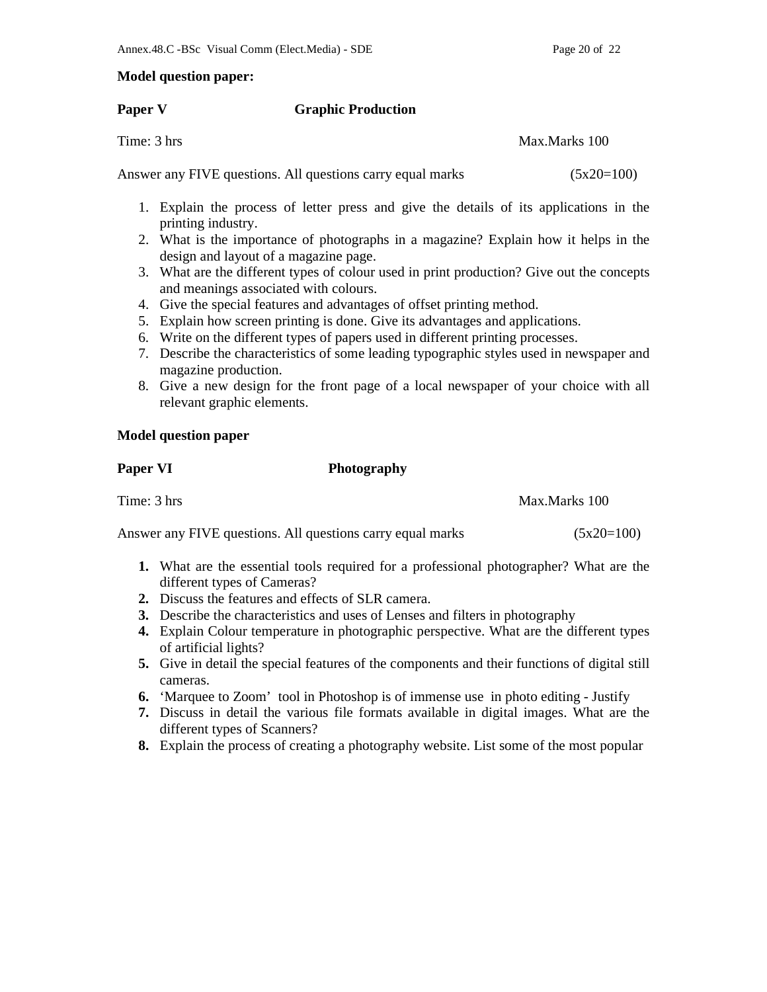# **Model question paper:**

## **Paper V** Graphic Production

Time: 3 hrs Max.Marks 100

Answer any FIVE questions. All questions carry equal marks (5x20=100)

- 1. Explain the process of letter press and give the details of its applications in the printing industry.
- 2. What is the importance of photographs in a magazine? Explain how it helps in the design and layout of a magazine page.
- 3. What are the different types of colour used in print production? Give out the concepts and meanings associated with colours.
- 4. Give the special features and advantages of offset printing method.
- 5. Explain how screen printing is done. Give its advantages and applications.
- 6. Write on the different types of papers used in different printing processes.
- 7. Describe the characteristics of some leading typographic styles used in newspaper and magazine production.
- 8. Give a new design for the front page of a local newspaper of your choice with all relevant graphic elements.

# **Model question paper**

**Paper VI** Photography

Time: 3 hrs Max.Marks 100

Answer any FIVE questions. All questions carry equal marks (5x20=100)

- **1.** What are the essential tools required for a professional photographer? What are the different types of Cameras?
- **2.** Discuss the features and effects of SLR camera.
- **3.** Describe the characteristics and uses of Lenses and filters in photography
- **4.** Explain Colour temperature in photographic perspective. What are the different types of artificial lights?
- **5.** Give in detail the special features of the components and their functions of digital still cameras.
- **6.** 'Marquee to Zoom' tool in Photoshop is of immense use in photo editing Justify
- **7.** Discuss in detail the various file formats available in digital images. What are the different types of Scanners?
- **8.** Explain the process of creating a photography website. List some of the most popular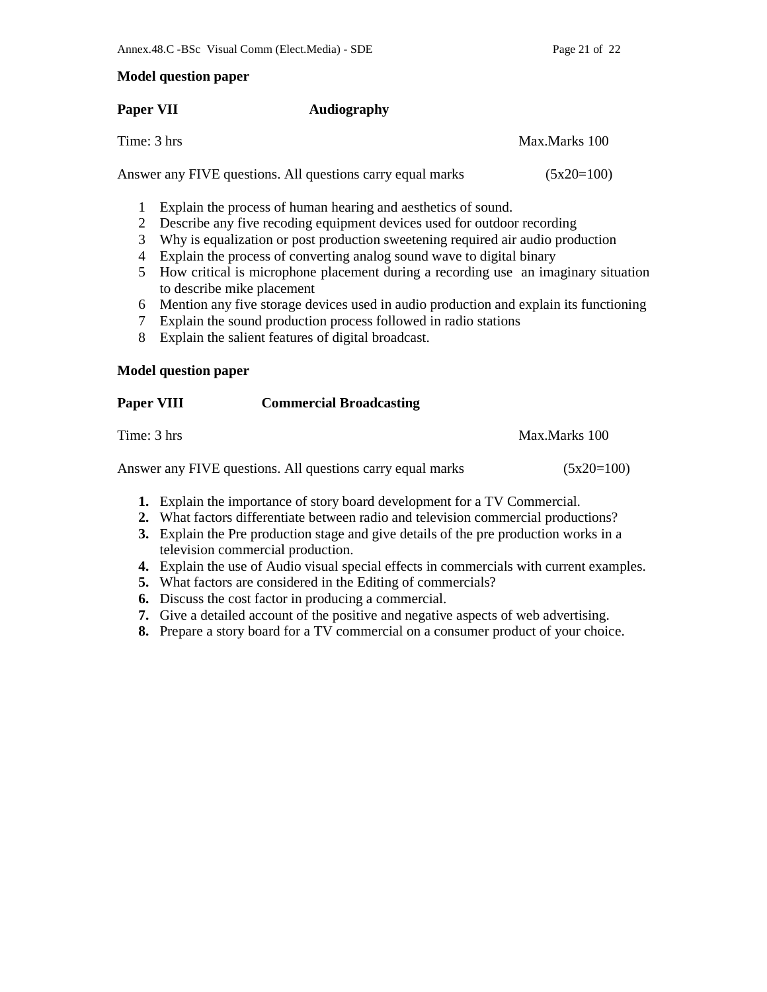## **Model question paper**

## **Paper VII Audiography**

Time: 3 hrs Max.Marks 100

Answer any FIVE questions. All questions carry equal marks  $(5x20=100)$ 

- 1 Explain the process of human hearing and aesthetics of sound.
- 2 Describe any five recoding equipment devices used for outdoor recording
- 3 Why is equalization or post production sweetening required air audio production
- 4 Explain the process of converting analog sound wave to digital binary
- 5 How critical is microphone placement during a recording use an imaginary situation to describe mike placement
- 6 Mention any five storage devices used in audio production and explain its functioning
- 7 Explain the sound production process followed in radio stations
- 8 Explain the salient features of digital broadcast.

**Paper VIII Commercial Broadcasting** 

# **Model question paper**

| Time: 3 hrs | Max.Marks 100 |
|-------------|---------------|
|             |               |

Answer any FIVE questions. All questions carry equal marks  $(5x20=100)$ 

- **1.** Explain the importance of story board development for a TV Commercial.
- **2.** What factors differentiate between radio and television commercial productions?
- **3.** Explain the Pre production stage and give details of the pre production works in a television commercial production.
- **4.** Explain the use of Audio visual special effects in commercials with current examples.
- **5.** What factors are considered in the Editing of commercials?
- **6.** Discuss the cost factor in producing a commercial.
- **7.** Give a detailed account of the positive and negative aspects of web advertising.
- **8.** Prepare a story board for a TV commercial on a consumer product of your choice.